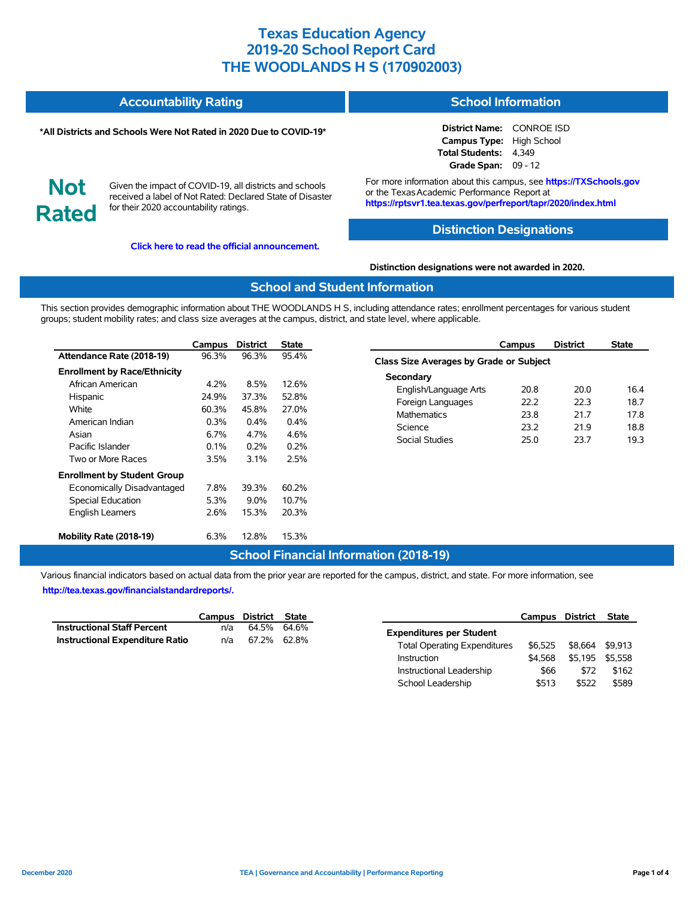#### **Accountability Rating School Information**

#### **\*All Districts and Schools Were Not Rated in 2020 Due to COVID-19\***

# **Not Rated**

Given the impact of COVID-19, all districts and schools received a label of Not Rated: Declared State of Disaster for their 2020 accountability ratings.

**[Click here to read the official announcement.](https://tea.texas.gov/about-tea/news-and-multimedia/correspondence/taa-letters/every-student-succeeds-act-essa-waiver-approval-2020-state-academic-accountability)**

**District Name:** CONROE ISD **Campus Type:** High School

**Total Students:** 4,349 **Grade Span:** 09 - 12

For more information about this campus, see **https://TXSchools.gov** or the Texas Academic Performance Report at **https://rptsvr1.tea.texas.gov/perfreport/tapr/2020/index.html**

## **Distinction Designations**

#### **Distinction designations were not awarded in 2020.**

#### **School and Student Information**

This section provides demographic information about THE WOODLANDS H S, including attendance rates; enrollment percentages for various student groups; student mobility rates; and class size averages at the campus, district, and state level, where applicable.

|                                     | Campus  | <b>District</b> | <b>State</b> |
|-------------------------------------|---------|-----------------|--------------|
| Attendance Rate (2018-19)           | 96.3%   | 96.3%           | 95.4%        |
| <b>Enrollment by Race/Ethnicity</b> |         |                 |              |
| African American                    | 4.2%    | 8.5%            | 12.6%        |
| Hispanic                            | 24.9%   | 37.3%           | 52.8%        |
| White                               | 60.3%   | 45.8%           | 27.0%        |
| American Indian                     | $0.3\%$ | $0.4\%$         | $0.4\%$      |
| Asian                               | $6.7\%$ | 4.7%            | 4.6%         |
| Pacific Islander                    | $0.1\%$ | $0.2\%$         | 0.2%         |
| Two or More Races                   | 3.5%    | 3.1%            | 2.5%         |
| <b>Enrollment by Student Group</b>  |         |                 |              |
| Economically Disadvantaged          | 7.8%    | 39.3%           | 60.2%        |
| Special Education                   | 5.3%    | $9.0\%$         | 10.7%        |
| <b>English Learners</b>             | 2.6%    | 15.3%           | 20.3%        |
| Mobility Rate (2018-19)             | 6.3%    | 12.8%           | 15.3%        |

|                                         | Campus | <b>District</b> | <b>State</b> |  |  |  |  |  |  |
|-----------------------------------------|--------|-----------------|--------------|--|--|--|--|--|--|
| Class Size Averages by Grade or Subject |        |                 |              |  |  |  |  |  |  |
| Secondary                               |        |                 |              |  |  |  |  |  |  |
| English/Language Arts                   | 20.8   | 20.0            | 16.4         |  |  |  |  |  |  |
| Foreign Languages                       | 22 Z   | 22.3            | 18.7         |  |  |  |  |  |  |
| <b>Mathematics</b>                      | 23.8   | 217             | 178          |  |  |  |  |  |  |
| Science                                 | 23.2   | 219             | 18.8         |  |  |  |  |  |  |
| Social Studies                          | 25.0   | 23.7            | 19.3         |  |  |  |  |  |  |
|                                         |        |                 |              |  |  |  |  |  |  |

## **School Financial Information (2018-19)**

Various financial indicators based on actual data from the prior year are reported for the campus, district, and state. For more information, see **[http://tea.texas.gov/financialstandardreports/.](http://tea.texas.gov/financialstandardreports/)**

|                                        | Campus District State |             |  |
|----------------------------------------|-----------------------|-------------|--|
| <b>Instructional Staff Percent</b>     | n/a                   | 64.5% 64.6% |  |
| <b>Instructional Expenditure Ratio</b> | n/a                   | 67.2% 62.8% |  |

|                                     | Campus District |         | <b>State</b> |
|-------------------------------------|-----------------|---------|--------------|
| <b>Expenditures per Student</b>     |                 |         |              |
| <b>Total Operating Expenditures</b> | \$6.525         | \$8.664 | \$9.913      |
| Instruction                         | \$4.568         | \$5.195 | \$5.558      |
| Instructional Leadership            | \$66            | \$72    | \$162        |
| School Leadership                   | \$513           | \$522   | \$589        |

Ĭ.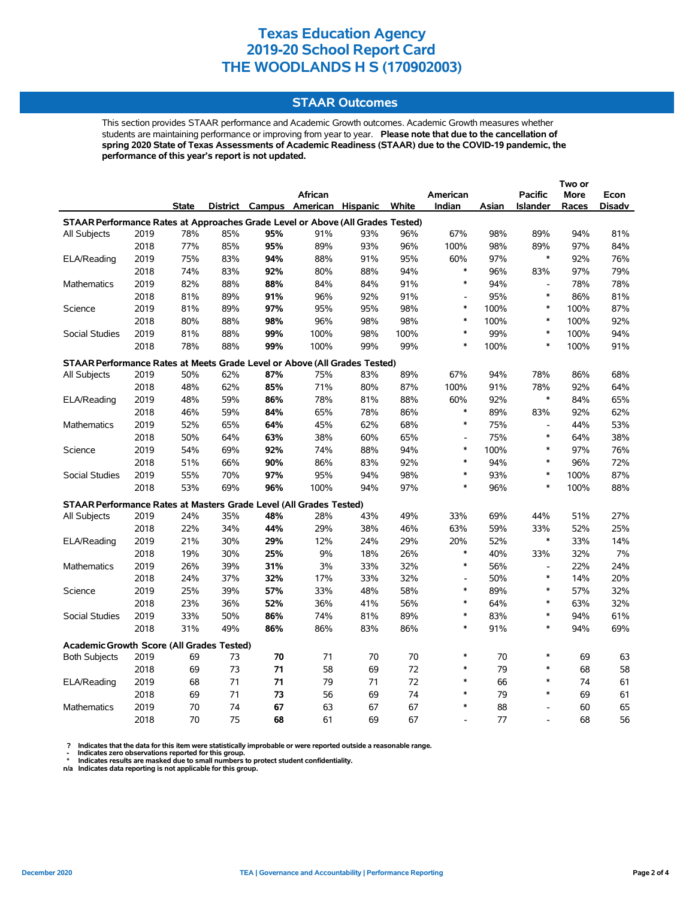## **STAAR Outcomes**

This section provides STAAR performance and Academic Growth outcomes. Academic Growth measures whether students are maintaining performance or improving from year to year. **Please note that due to the cancellation of spring 2020 State of Texas Assessments of Academic Readiness (STAAR) due to the COVID-19 pandemic, the performance of this year's report is not updated.**

|                                                                                |      |              |     |     |                                   |     |       |                          |       |                          | Two or |               |
|--------------------------------------------------------------------------------|------|--------------|-----|-----|-----------------------------------|-----|-------|--------------------------|-------|--------------------------|--------|---------------|
|                                                                                |      |              |     |     | African                           |     |       | American                 |       | <b>Pacific</b>           | More   | Econ          |
|                                                                                |      | <b>State</b> |     |     | District Campus American Hispanic |     | White | Indian                   | Asian | <b>Islander</b>          | Races  | <b>Disadv</b> |
| STAAR Performance Rates at Approaches Grade Level or Above (All Grades Tested) |      |              |     |     |                                   |     |       |                          |       |                          |        |               |
| All Subjects                                                                   | 2019 | 78%          | 85% | 95% | 91%                               | 93% | 96%   | 67%                      | 98%   | 89%                      | 94%    | 81%           |
|                                                                                | 2018 | 77%          | 85% | 95% | 89%                               | 93% | 96%   | 100%                     | 98%   | 89%                      | 97%    | 84%           |
| ELA/Reading                                                                    | 2019 | 75%          | 83% | 94% | 88%                               | 91% | 95%   | 60%                      | 97%   | $\ast$                   | 92%    | 76%           |
|                                                                                | 2018 | 74%          | 83% | 92% | 80%                               | 88% | 94%   | $\ast$                   | 96%   | 83%                      | 97%    | 79%           |
| <b>Mathematics</b>                                                             | 2019 | 82%          | 88% | 88% | 84%                               | 84% | 91%   | $\ast$                   | 94%   | $\overline{\phantom{a}}$ | 78%    | 78%           |
|                                                                                | 2018 | 81%          | 89% | 91% | 96%                               | 92% | 91%   | $\overline{a}$           | 95%   | $\ast$                   | 86%    | 81%           |
| Science                                                                        | 2019 | 81%          | 89% | 97% | 95%                               | 95% | 98%   | $\ast$                   | 100%  | $\ast$                   | 100%   | 87%           |
|                                                                                | 2018 | 80%          | 88% | 98% | 96%                               | 98% | 98%   | $\ast$                   | 100%  | $\ast$                   | 100%   | 92%           |
| <b>Social Studies</b>                                                          | 2019 | 81%          | 88% | 99% | 100%                              | 98% | 100%  | $\ast$                   | 99%   | $\ast$                   | 100%   | 94%           |
|                                                                                | 2018 | 78%          | 88% | 99% | 100%                              | 99% | 99%   | $\ast$                   | 100%  | $\ast$                   | 100%   | 91%           |
| STAAR Performance Rates at Meets Grade Level or Above (All Grades Tested)      |      |              |     |     |                                   |     |       |                          |       |                          |        |               |
| All Subjects                                                                   | 2019 | 50%          | 62% | 87% | 75%                               | 83% | 89%   | 67%                      | 94%   | 78%                      | 86%    | 68%           |
|                                                                                | 2018 | 48%          | 62% | 85% | 71%                               | 80% | 87%   | 100%                     | 91%   | 78%                      | 92%    | 64%           |
| ELA/Reading                                                                    | 2019 | 48%          | 59% | 86% | 78%                               | 81% | 88%   | 60%                      | 92%   | $\ast$                   | 84%    | 65%           |
|                                                                                | 2018 | 46%          | 59% | 84% | 65%                               | 78% | 86%   | $\ast$                   | 89%   | 83%                      | 92%    | 62%           |
| <b>Mathematics</b>                                                             | 2019 | 52%          | 65% | 64% | 45%                               | 62% | 68%   | $\ast$                   | 75%   | $\frac{1}{2}$            | 44%    | 53%           |
|                                                                                | 2018 | 50%          | 64% | 63% | 38%                               | 60% | 65%   | $\overline{\phantom{a}}$ | 75%   | $\ast$                   | 64%    | 38%           |
| Science                                                                        | 2019 | 54%          | 69% | 92% | 74%                               | 88% | 94%   | $\ast$                   | 100%  | *                        | 97%    | 76%           |
|                                                                                | 2018 | 51%          | 66% | 90% | 86%                               | 83% | 92%   | $\ast$                   | 94%   | $\ast$                   | 96%    | 72%           |
| <b>Social Studies</b>                                                          | 2019 | 55%          | 70% | 97% | 95%                               | 94% | 98%   | $\ast$                   | 93%   | $\ast$                   | 100%   | 87%           |
|                                                                                | 2018 | 53%          | 69% | 96% | 100%                              | 94% | 97%   | $\ast$                   | 96%   | $\ast$                   | 100%   | 88%           |
| STAAR Performance Rates at Masters Grade Level (All Grades Tested)             |      |              |     |     |                                   |     |       |                          |       |                          |        |               |
| All Subjects                                                                   | 2019 | 24%          | 35% | 48% | 28%                               | 43% | 49%   | 33%                      | 69%   | 44%                      | 51%    | 27%           |
|                                                                                | 2018 | 22%          | 34% | 44% | 29%                               | 38% | 46%   | 63%                      | 59%   | 33%                      | 52%    | 25%           |
| ELA/Reading                                                                    | 2019 | 21%          | 30% | 29% | 12%                               | 24% | 29%   | 20%                      | 52%   | $\ast$                   | 33%    | 14%           |
|                                                                                | 2018 | 19%          | 30% | 25% | 9%                                | 18% | 26%   | $\ast$                   | 40%   | 33%                      | 32%    | 7%            |
| <b>Mathematics</b>                                                             | 2019 | 26%          | 39% | 31% | $3%$                              | 33% | 32%   | $\ast$                   | 56%   | $\overline{\phantom{a}}$ | 22%    | 24%           |
|                                                                                | 2018 | 24%          | 37% | 32% | 17%                               | 33% | 32%   | $\overline{a}$           | 50%   | $\ast$                   | 14%    | 20%           |
| Science                                                                        | 2019 | 25%          | 39% | 57% | 33%                               | 48% | 58%   | $\ast$                   | 89%   | $\ast$                   | 57%    | 32%           |
|                                                                                | 2018 | 23%          | 36% | 52% | 36%                               | 41% | 56%   | $\ast$                   | 64%   | *                        | 63%    | 32%           |
| Social Studies                                                                 | 2019 | 33%          | 50% | 86% | 74%                               | 81% | 89%   | $\ast$                   | 83%   | $\ast$                   | 94%    | 61%           |
|                                                                                | 2018 | 31%          | 49% | 86% | 86%                               | 83% | 86%   | $\ast$                   | 91%   | $\ast$                   | 94%    | 69%           |
| <b>Academic Growth Score (All Grades Tested)</b>                               |      |              |     |     |                                   |     |       |                          |       |                          |        |               |
| <b>Both Subjects</b>                                                           | 2019 | 69           | 73  | 70  | 71                                | 70  | 70    | $\ast$                   | 70    | $\ast$                   | 69     | 63            |
|                                                                                | 2018 | 69           | 73  | 71  | 58                                | 69  | 72    | $\ast$                   | 79    | *                        | 68     | 58            |
| ELA/Reading                                                                    | 2019 | 68           | 71  | 71  | 79                                | 71  | 72    | $\ast$                   | 66    | *                        | 74     | 61            |
|                                                                                | 2018 | 69           | 71  | 73  | 56                                | 69  | 74    | $\ast$                   | 79    | $\ast$                   | 69     | 61            |
| Mathematics                                                                    | 2019 | 70           | 74  | 67  | 63                                | 67  | 67    | $\ast$                   | 88    | $\overline{a}$           | 60     | 65            |
|                                                                                | 2018 | 70           | 75  | 68  | 61                                | 69  | 67    |                          | 77    |                          | 68     | 56            |

? Indicates that the data for this item were statistically improbable or were reported outside a reasonable range.<br>- Indicates zero observations reported for this group.<br>\* Indicates results are masked due to small numbers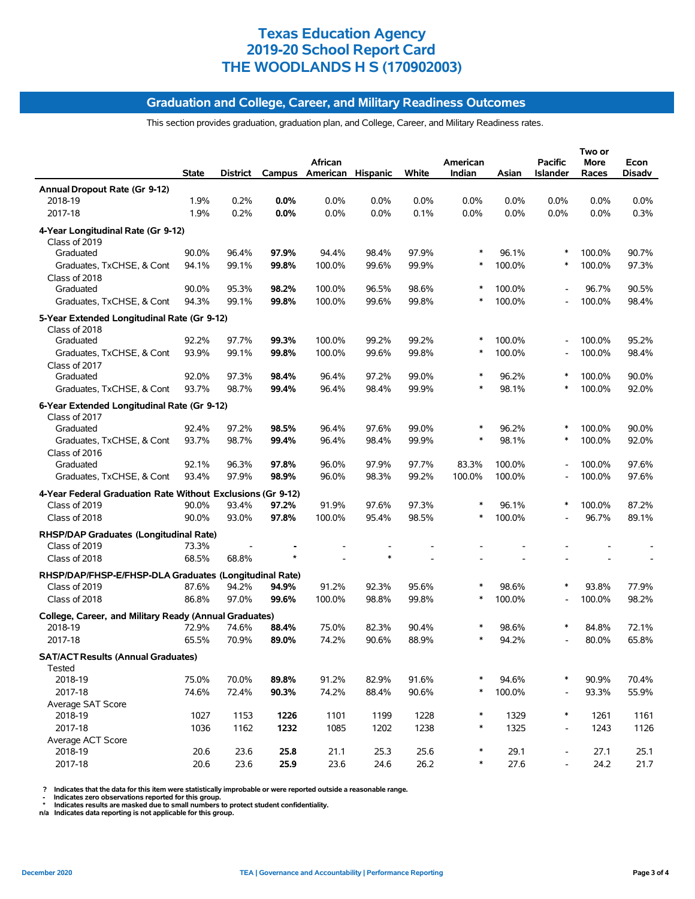#### **Graduation and College, Career, and Military Readiness Outcomes**

This section provides graduation, graduation plan, and College, Career, and Military Readiness rates.

|                                                              | <b>State</b> | District |         | African<br>Campus American Hispanic |       | White | American<br>Indian | Asian  | <b>Pacific</b><br><b>Islander</b> | Two or<br>More<br>Races | Econ<br><b>Disadv</b> |
|--------------------------------------------------------------|--------------|----------|---------|-------------------------------------|-------|-------|--------------------|--------|-----------------------------------|-------------------------|-----------------------|
| Annual Dropout Rate (Gr 9-12)                                |              |          |         |                                     |       |       |                    |        |                                   |                         |                       |
| 2018-19                                                      | 1.9%         | 0.2%     | $0.0\%$ | 0.0%                                | 0.0%  | 0.0%  | $0.0\%$            | 0.0%   | $0.0\%$                           | 0.0%                    | 0.0%                  |
| 2017-18                                                      | 1.9%         | 0.2%     | 0.0%    | 0.0%                                | 0.0%  | 0.1%  | 0.0%               | 0.0%   | 0.0%                              | 0.0%                    | 0.3%                  |
| 4-Year Longitudinal Rate (Gr 9-12)<br>Class of 2019          |              |          |         |                                     |       |       |                    |        |                                   |                         |                       |
| Graduated                                                    | 90.0%        | 96.4%    | 97.9%   | 94.4%                               | 98.4% | 97.9% | ∗                  | 96.1%  | $\ast$                            | 100.0%                  | 90.7%                 |
| Graduates, TxCHSE, & Cont<br>Class of 2018                   | 94.1%        | 99.1%    | 99.8%   | 100.0%                              | 99.6% | 99.9% | ∗                  | 100.0% | *                                 | 100.0%                  | 97.3%                 |
| Graduated                                                    | 90.0%        | 95.3%    | 98.2%   | 100.0%                              | 96.5% | 98.6% |                    | 100.0% |                                   | 96.7%                   | 90.5%                 |
| Graduates, TxCHSE, & Cont                                    | 94.3%        | 99.1%    | 99.8%   | 100.0%                              | 99.6% | 99.8% | $\ast$             | 100.0% |                                   | 100.0%                  | 98.4%                 |
| 5-Year Extended Longitudinal Rate (Gr 9-12)<br>Class of 2018 |              |          |         |                                     |       |       |                    |        |                                   |                         |                       |
| Graduated                                                    | 92.2%        | 97.7%    | 99.3%   | 100.0%                              | 99.2% | 99.2% | ∗                  | 100.0% | L,                                | 100.0%                  | 95.2%                 |
| Graduates, TxCHSE, & Cont                                    | 93.9%        | 99.1%    | 99.8%   | 100.0%                              | 99.6% | 99.8% | ∗                  | 100.0% |                                   | 100.0%                  | 98.4%                 |
| Class of 2017                                                |              |          |         |                                     |       |       |                    |        |                                   |                         |                       |
| Graduated                                                    | 92.0%        | 97.3%    | 98.4%   | 96.4%                               | 97.2% | 99.0% | $\ast$<br>$\ast$   | 96.2%  | ∗<br>*                            | 100.0%                  | 90.0%                 |
| Graduates, TxCHSE, & Cont                                    | 93.7%        | 98.7%    | 99.4%   | 96.4%                               | 98.4% | 99.9% |                    | 98.1%  |                                   | 100.0%                  | 92.0%                 |
| 6-Year Extended Longitudinal Rate (Gr 9-12)<br>Class of 2017 |              |          |         |                                     |       |       |                    |        |                                   |                         |                       |
| Graduated                                                    | 92.4%        | 97.2%    | 98.5%   | 96.4%                               | 97.6% | 99.0% |                    | 96.2%  | $\ast$                            | 100.0%                  | 90.0%                 |
| Graduates, TxCHSE, & Cont<br>Class of 2016                   | 93.7%        | 98.7%    | 99.4%   | 96.4%                               | 98.4% | 99.9% | $\ast$             | 98.1%  | $\ast$                            | 100.0%                  | 92.0%                 |
| Graduated                                                    | 92.1%        | 96.3%    | 97.8%   | 96.0%                               | 97.9% | 97.7% | 83.3%              | 100.0% |                                   | 100.0%                  | 97.6%                 |
| Graduates, TxCHSE, & Cont                                    | 93.4%        | 97.9%    | 98.9%   | 96.0%                               | 98.3% | 99.2% | 100.0%             | 100.0% |                                   | 100.0%                  | 97.6%                 |
| 4-Year Federal Graduation Rate Without Exclusions (Gr 9-12)  |              |          |         |                                     |       |       |                    |        |                                   |                         |                       |
| Class of 2019                                                | 90.0%        | 93.4%    | 97.2%   | 91.9%                               | 97.6% | 97.3% | ∗                  | 96.1%  |                                   | 100.0%                  | 87.2%                 |
| Class of 2018                                                | 90.0%        | 93.0%    | 97.8%   | 100.0%                              | 95.4% | 98.5% | ∗                  | 100.0% |                                   | 96.7%                   | 89.1%                 |
| RHSP/DAP Graduates (Longitudinal Rate)<br>Class of 2019      | 73.3%        |          |         |                                     |       |       |                    |        |                                   |                         |                       |
| Class of 2018                                                | 68.5%        | 68.8%    |         |                                     |       |       |                    |        |                                   |                         |                       |
| RHSP/DAP/FHSP-E/FHSP-DLA Graduates (Longitudinal Rate)       |              |          |         |                                     |       |       |                    |        |                                   |                         |                       |
| Class of 2019                                                | 87.6%        | 94.2%    | 94.9%   | 91.2%                               | 92.3% | 95.6% | $\ast$             | 98.6%  |                                   | 93.8%                   | 77.9%                 |
| Class of 2018                                                | 86.8%        | 97.0%    | 99.6%   | 100.0%                              | 98.8% | 99.8% | ∗                  | 100.0% |                                   | 100.0%                  | 98.2%                 |
| College, Career, and Military Ready (Annual Graduates)       |              |          |         |                                     |       |       |                    |        |                                   |                         |                       |
| 2018-19                                                      | 72.9%        | 74.6%    | 88.4%   | 75.0%                               | 82.3% | 90.4% | $\ast$             | 98.6%  |                                   | 84.8%                   | 72.1%                 |
| 2017-18                                                      | 65.5%        | 70.9%    | 89.0%   | 74.2%                               | 90.6% | 88.9% |                    | 94.2%  |                                   | 80.0%                   | 65.8%                 |
| <b>SAT/ACT Results (Annual Graduates)</b><br>Tested          |              |          |         |                                     |       |       |                    |        |                                   |                         |                       |
| 2018-19                                                      | 75.0%        | 70.0%    | 89.8%   | 91.2%                               | 82.9% | 91.6% |                    | 94.6%  | $\ast$                            | 90.9%                   | 70.4%                 |
| 2017-18                                                      | 74.6%        | 72.4%    | 90.3%   | 74.2%                               | 88.4% | 90.6% | $\ast$             | 100.0% |                                   | 93.3%                   | 55.9%                 |
| Average SAT Score<br>2018-19                                 | 1027         | 1153     | 1226    | 1101                                | 1199  | 1228  | $\ast$             | 1329   | $\ast$                            | 1261                    | 1161                  |
| 2017-18                                                      | 1036         | 1162     | 1232    | 1085                                | 1202  | 1238  | $\ast$             | 1325   | $\overline{\phantom{a}}$          | 1243                    | 1126                  |
| Average ACT Score                                            |              |          |         |                                     |       |       |                    |        |                                   |                         |                       |
| 2018-19                                                      | 20.6         | 23.6     | 25.8    | 21.1                                | 25.3  | 25.6  | $\ast$             | 29.1   | $\overline{\phantom{a}}$          | 27.1                    | 25.1                  |
| 2017-18                                                      | 20.6         | 23.6     | 25.9    | 23.6                                | 24.6  | 26.2  | $\ast$             | 27.6   | $\overline{\phantom{a}}$          | 24.2                    | 21.7                  |

? Indicates that the data for this item were statistically improbable or were reported outside a reasonable range.<br>- Indicates zero observations reported for this group.<br>\* Indicates results are masked due to small numbers